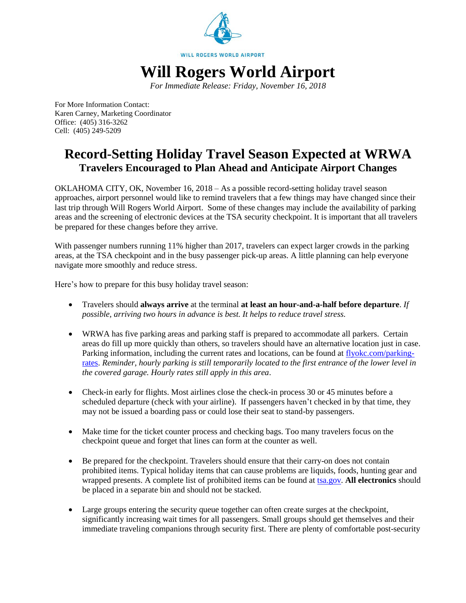

*For Immediate Release: Friday, November 16, 2018*

For More Information Contact: Karen Carney, Marketing Coordinator Office: (405) 316-3262 Cell: (405) 249-5209

# **Record-Setting Holiday Travel Season Expected at WRWA Travelers Encouraged to Plan Ahead and Anticipate Airport Changes**

OKLAHOMA CITY, OK, November 16, 2018 – As a possible record-setting holiday travel season approaches, airport personnel would like to remind travelers that a few things may have changed since their last trip through Will Rogers World Airport. Some of these changes may include the availability of parking areas and the screening of electronic devices at the TSA security checkpoint. It is important that all travelers be prepared for these changes before they arrive.

With passenger numbers running 11% higher than 2017, travelers can expect larger crowds in the parking areas, at the TSA checkpoint and in the busy passenger pick-up areas. A little planning can help everyone navigate more smoothly and reduce stress.

Here's how to prepare for this busy holiday travel season:

- Travelers should **always arrive** at the terminal **at least an hour-and-a-half before departure**. *If possible, arriving two hours in advance is best. It helps to reduce travel stress.*
- WRWA has five parking areas and parking staff is prepared to accommodate all parkers. Certain areas do fill up more quickly than others, so travelers should have an alternative location just in case. Parking information, including the current rates and locations, can be found at [flyokc.com/parking](http://www.flyokc.com/parking-rates)[rates.](http://www.flyokc.com/parking-rates) *Reminder, hourly parking is still temporarily located to the first entrance of the lower level in the covered garage. Hourly rates still apply in this area*.
- Check-in early for flights. Most airlines close the check-in process 30 or 45 minutes before a scheduled departure (check with your airline). If passengers haven't checked in by that time, they may not be issued a boarding pass or could lose their seat to stand-by passengers.
- Make time for the ticket counter process and checking bags. Too many travelers focus on the checkpoint queue and forget that lines can form at the counter as well.
- Be prepared for the checkpoint. Travelers should ensure that their carry-on does not contain prohibited items. Typical holiday items that can cause problems are liquids, foods, hunting gear and wrapped presents. A complete list of prohibited items can be found at [tsa.gov.](https://www.tsa.gov/) **All electronics** should be placed in a separate bin and should not be stacked.
- Large groups entering the security queue together can often create surges at the checkpoint, significantly increasing wait times for all passengers. Small groups should get themselves and their immediate traveling companions through security first. There are plenty of comfortable post-security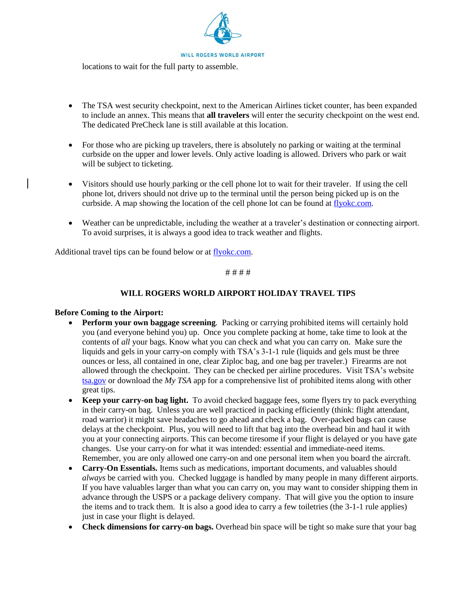

locations to wait for the full party to assemble.

- The TSA west security checkpoint, next to the American Airlines ticket counter, has been expanded to include an annex. This means that **all travelers** will enter the security checkpoint on the west end. The dedicated PreCheck lane is still available at this location.
- For those who are picking up travelers, there is absolutely no parking or waiting at the terminal curbside on the upper and lower levels. Only active loading is allowed. Drivers who park or wait will be subject to ticketing.
- Visitors should use hourly parking or the cell phone lot to wait for their traveler. If using the cell phone lot, drivers should not drive up to the terminal until the person being picked up is on the curbside. A map showing the location of the cell phone lot can be found at [flyokc.com.](https://flyokc.com/parking-rates)
- Weather can be unpredictable, including the weather at a traveler's destination or connecting airport. To avoid surprises, it is always a good idea to track weather and flights.

Additional travel tips can be found below or at [flyokc.com.](https://flyokc.com/travel-tips)

# # # #

## **WILL ROGERS WORLD AIRPORT HOLIDAY TRAVEL TIPS**

#### **Before Coming to the Airport:**

- **Perform your own baggage screening***.* Packing or carrying prohibited items will certainly hold you (and everyone behind you) up. Once you complete packing at home, take time to look at the contents of *all* your bags. Know what you can check and what you can carry on. Make sure the liquids and gels in your carry-on comply with TSA's 3-1-1 rule (liquids and gels must be three ounces or less, all contained in one, clear Ziploc bag, and one bag per traveler.) Firearms are not allowed through the checkpoint. They can be checked per airline procedures. Visit TSA's website [tsa.gov](http://tsa.gov/) or download the *My TSA* app for a comprehensive list of prohibited items along with other great tips.
- **Keep your carry-on bag light.** To avoid checked baggage fees, some flyers try to pack everything in their carry-on bag. Unless you are well practiced in packing efficiently (think: flight attendant, road warrior) it might save headaches to go ahead and check a bag. Over-packed bags can cause delays at the checkpoint. Plus, you will need to lift that bag into the overhead bin and haul it with you at your connecting airports. This can become tiresome if your flight is delayed or you have gate changes. Use your carry-on for what it was intended: essential and immediate-need items. Remember, you are only allowed one carry-on and one personal item when you board the aircraft.
- **Carry-On Essentials.** Items such as medications, important documents, and valuables should *always* be carried with you. Checked luggage is handled by many people in many different airports. If you have valuables larger than what you can carry on, you may want to consider shipping them in advance through the USPS or a package delivery company. That will give you the option to insure the items and to track them. It is also a good idea to carry a few toiletries (the 3-1-1 rule applies) just in case your flight is delayed.
- **Check dimensions for carry-on bags.** Overhead bin space will be tight so make sure that your bag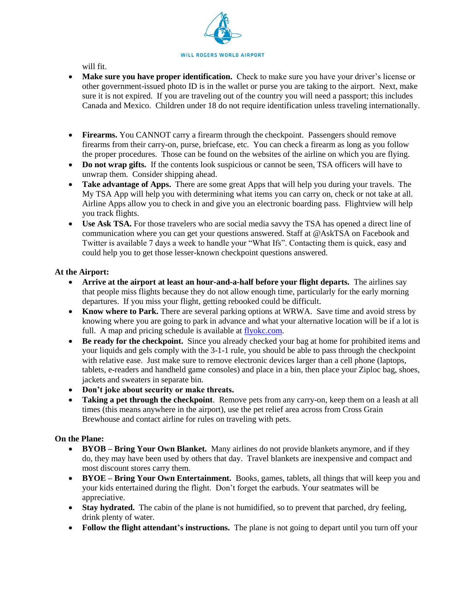

will fit.

- **Make sure you have proper identification.** Check to make sure you have your driver's license or other government-issued photo ID is in the wallet or purse you are taking to the airport. Next, make sure it is not expired. If you are traveling out of the country you will need a passport; this includes Canada and Mexico. Children under 18 do not require identification unless traveling internationally.
- **Firearms.** You CANNOT carry a firearm through the checkpoint. Passengers should remove firearms from their carry-on, purse, briefcase, etc. You can check a firearm as long as you follow the proper procedures. Those can be found on the websites of the airline on which you are flying.
- **Do not wrap gifts.** If the contents look suspicious or cannot be seen, TSA officers will have to unwrap them. Consider shipping ahead.
- **Take advantage of Apps.** There are some great Apps that will help you during your travels. The My TSA App will help you with determining what items you can carry on, check or not take at all. Airline Apps allow you to check in and give you an electronic boarding pass. Flightview will help you track flights.
- **Use Ask TSA.** For those travelers who are social media savvy the TSA has opened a direct line of communication where you can get your questions answered. Staff at @AskTSA on Facebook and Twitter is available 7 days a week to handle your "What Ifs". Contacting them is quick, easy and could help you to get those lesser-known checkpoint questions answered.

### **At the Airport:**

- **Arrive at the airport at least an hour-and-a-half before your flight departs.** The airlines say that people miss flights because they do not allow enough time, particularly for the early morning departures. If you miss your flight, getting rebooked could be difficult.
- **Know where to Park.** There are several parking options at WRWA. Save time and avoid stress by knowing where you are going to park in advance and what your alternative location will be if a lot is full. A map and pricing schedule is available at [flyokc.com.](https://flyokc.com/parking-rates)
- **Be ready for the checkpoint.** Since you already checked your bag at home for prohibited items and your liquids and gels comply with the 3-1-1 rule, you should be able to pass through the checkpoint with relative ease. Just make sure to remove electronic devices larger than a cell phone (laptops, tablets, e-readers and handheld game consoles) and place in a bin, then place your Ziploc bag, shoes, jackets and sweaters in separate bin.
- **Don't joke about security or make threats.**
- **Taking a pet through the checkpoint**. Remove pets from any carry-on, keep them on a leash at all times (this means anywhere in the airport), use the pet relief area across from Cross Grain Brewhouse and contact airline for rules on traveling with pets.

#### **On the Plane:**

- **BYOB – Bring Your Own Blanket.** Many airlines do not provide blankets anymore, and if they do, they may have been used by others that day. Travel blankets are inexpensive and compact and most discount stores carry them.
- **BYOE – Bring Your Own Entertainment.** Books, games, tablets, all things that will keep you and your kids entertained during the flight. Don't forget the earbuds. Your seatmates will be appreciative.
- **Stay hydrated.** The cabin of the plane is not humidified, so to prevent that parched, dry feeling, drink plenty of water.
- **Follow the flight attendant's instructions.** The plane is not going to depart until you turn off your